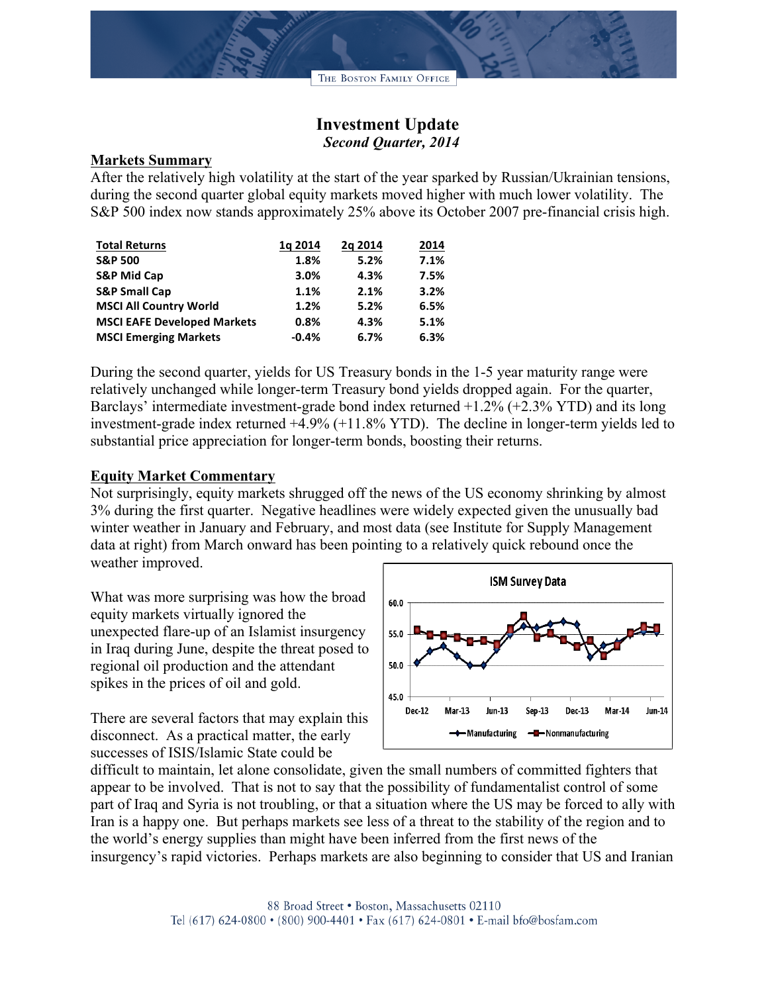## **Investment Update**  *Second Quarter, 2014*

## **Markets Summary**

After the relatively high volatility at the start of the year sparked by Russian/Ukrainian tensions, during the second quarter global equity markets moved higher with much lower volatility. The S&P 500 index now stands approximately 25% above its October 2007 pre-financial crisis high.

| <b>Total Returns</b>               | 1g 2014 | 2g 2014 | 2014 |
|------------------------------------|---------|---------|------|
| <b>S&amp;P 500</b>                 | 1.8%    | 5.2%    | 7.1% |
| <b>S&amp;P Mid Cap</b>             | 3.0%    | 4.3%    | 7.5% |
| <b>S&amp;P Small Cap</b>           | 1.1%    | 2.1%    | 3.2% |
| <b>MSCI All Country World</b>      | 1.2%    | 5.2%    | 6.5% |
| <b>MSCI EAFE Developed Markets</b> | 0.8%    | 4.3%    | 5.1% |
| <b>MSCI Emerging Markets</b>       | $-0.4%$ | 6.7%    | 6.3% |

During the second quarter, yields for US Treasury bonds in the 1-5 year maturity range were relatively unchanged while longer-term Treasury bond yields dropped again. For the quarter, Barclays' intermediate investment-grade bond index returned +1.2% (+2.3% YTD) and its long investment-grade index returned +4.9% (+11.8% YTD). The decline in longer-term yields led to substantial price appreciation for longer-term bonds, boosting their returns.

## **Equity Market Commentary**

Not surprisingly, equity markets shrugged off the news of the US economy shrinking by almost 3% during the first quarter. Negative headlines were widely expected given the unusually bad winter weather in January and February, and most data (see Institute for Supply Management data at right) from March onward has been pointing to a relatively quick rebound once the weather improved.

What was more surprising was how the broad equity markets virtually ignored the unexpected flare-up of an Islamist insurgency in Iraq during June, despite the threat posed to regional oil production and the attendant spikes in the prices of oil and gold.

There are several factors that may explain this disconnect. As a practical matter, the early successes of ISIS/Islamic State could be



difficult to maintain, let alone consolidate, given the small numbers of committed fighters that appear to be involved. That is not to say that the possibility of fundamentalist control of some part of Iraq and Syria is not troubling, or that a situation where the US may be forced to ally with Iran is a happy one. But perhaps markets see less of a threat to the stability of the region and to the world's energy supplies than might have been inferred from the first news of the insurgency's rapid victories. Perhaps markets are also beginning to consider that US and Iranian